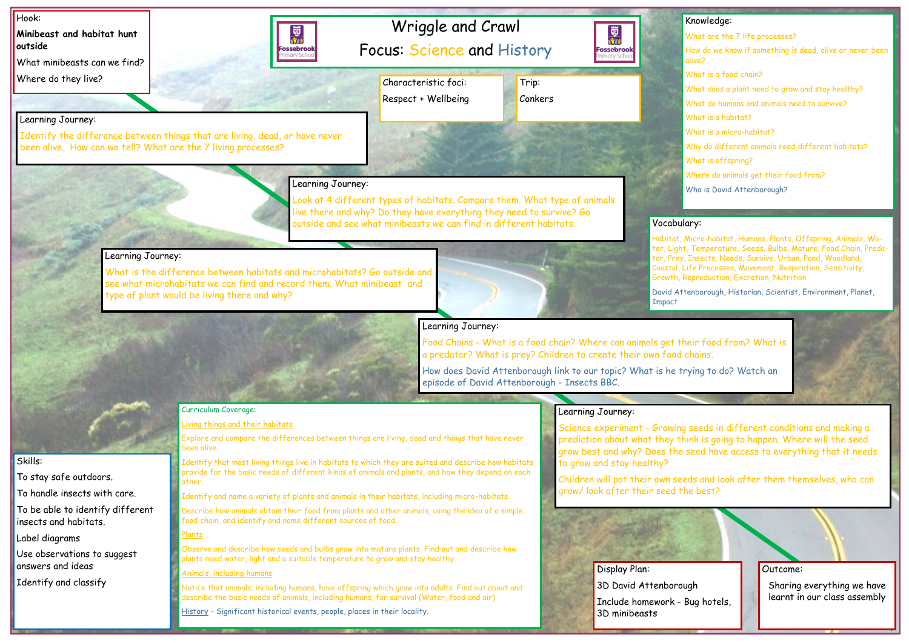Outcome:

Sharing everything we have learnt in our class assembly

## Knowledge:

- What are the 7 life processes?
- How do we know if something is dead, alive or never been alive?
- What is a food chain?
- What does a plant need to grow and stay healthy?
- What do humans and animals need to survive?
- What is a habitat?
- What is a micro-habitat?
- Why do different animals need different habitats?
- What is offspring?
- Where do animals get their food from?
- Who is David Attenborough?

## lary:

Micro-habitat, Humans, Plants, Offspring, Animals, Wa-Temperature, Seeds, Bulbs, Mature, Food Chain, Preda-Insects, Needs, Survive, Urban, Pond, Woodland, Life Processes, Movement, Respiration, Sensitivity, Reproduction, Excretion, Nutrition

tenborough, Historian, Scientist, Environment, Planet,

heir food from? What is

rying to do? Watch an

seeds in different conditions and making a nink is going to happen. Where will the seed seed have access to everything that it needs

eds and look after them themselves, who can e best?

ugh Bug hotels,

| Hook:<br>Minibeast and habitat hunt<br>outside<br>What minibeasts can we find?                                                                                                                                                                                                         | Wriggle and Crawl<br>國歌<br>Focus: Science and History<br>Fossebrook                                                                                                                                                                                                                                      | Knowle<br>國流<br>What ar<br><b>Fossebrook</b><br>How do v<br>marv Schoc<br>alive?                                   |  |
|----------------------------------------------------------------------------------------------------------------------------------------------------------------------------------------------------------------------------------------------------------------------------------------|----------------------------------------------------------------------------------------------------------------------------------------------------------------------------------------------------------------------------------------------------------------------------------------------------------|--------------------------------------------------------------------------------------------------------------------|--|
| Where do they live?                                                                                                                                                                                                                                                                    | Characteristic foci:<br>Trip:                                                                                                                                                                                                                                                                            | What is<br>What do                                                                                                 |  |
|                                                                                                                                                                                                                                                                                        | Respect + Wellbeing<br>Conkers                                                                                                                                                                                                                                                                           | What do                                                                                                            |  |
| Learning Journey:<br>been alive. How can we tell? What are the 7 living processes?                                                                                                                                                                                                     | Identify the difference between things that are living, dead, or have never                                                                                                                                                                                                                              | What is<br>What is<br>Why do<br>What is<br>Where c                                                                 |  |
| Learning Journey:                                                                                                                                                                                                                                                                      | Learning Journey:<br>Look at 4 different types of habitats. Compare them. What type of animals<br>live there and why? Do they have everything they need to survive? Go<br>outside and see what minibeasts we can find in different habitats.                                                             | Who is D<br>Vocabulary:<br>Habitat, Micro-ho<br>ter, Light, Temper                                                 |  |
| What is the difference between habitats and microhabitats? Go outside and<br>see what microhabitats we can find and record them. What minibeast and<br>type of plant would be living there and why?<br>Impact                                                                          |                                                                                                                                                                                                                                                                                                          | tor, Prey, Insects<br>Coastal, Life Proc<br>Growth, Reproduc<br>David Attenborou                                   |  |
| Learning Journey:<br>Food Chains - What is a food chain? Where can animals get their foo<br>a predator? What is prey? Children to create their own food chains.<br>How does David Attenborough link to our topic? What is he trying to<br>episode of David Attenborough - Insects BBC. |                                                                                                                                                                                                                                                                                                          |                                                                                                                    |  |
|                                                                                                                                                                                                                                                                                        | Curriculum Coverage:                                                                                                                                                                                                                                                                                     | Learning Journey:                                                                                                  |  |
|                                                                                                                                                                                                                                                                                        | Living things and their habitats<br>Explore and compare the differences between things are living, dead and things that have never<br>been alive.                                                                                                                                                        | Science experiment - Growing seeds<br>prediction about what they think is g<br>grow best and why? Does the seed he |  |
| Skills:<br>To stay safe outdoors.                                                                                                                                                                                                                                                      | Identify that most living things live in habitats to which they are suited and describe how habitats<br>provide for the basic needs of different kinds of animals and plants, and how they depend on each<br>other.                                                                                      | to grow and stay healthy?<br>Children will pot their own seeds and                                                 |  |
| To handle insects with care.                                                                                                                                                                                                                                                           | Identify and name a variety of plants and animals in their habitats, including micro-habitats.                                                                                                                                                                                                           | grow/ look after their seed the best                                                                               |  |
| To be able to identify different<br>insects and habitats.                                                                                                                                                                                                                              | Describe how animals obtain their food from plants and other animals, using the idea of a simple<br>food chain, and identify and name different sources of food.                                                                                                                                         |                                                                                                                    |  |
| Label diagrams<br>Use observations to suggest<br>answers and ideas                                                                                                                                                                                                                     | Plants<br>Observe and describe how seeds and bulbs grow into mature plants. Find out and describe how<br>plants need water, light and a suitable temperature to grow and stay healthy.                                                                                                                   |                                                                                                                    |  |
| Identify and classify                                                                                                                                                                                                                                                                  | Animals, including humans<br>Notice that animals; including humans, have offspring which grow into adults. Find out about and<br>describe the basic needs of animals, including humans, for survival (Water, food and air)<br>History - Significant historical events, people, places in their locality. | Display Plan:<br>3D David Attenborough<br>Include homework - Bug hot<br>3D minibeasts                              |  |